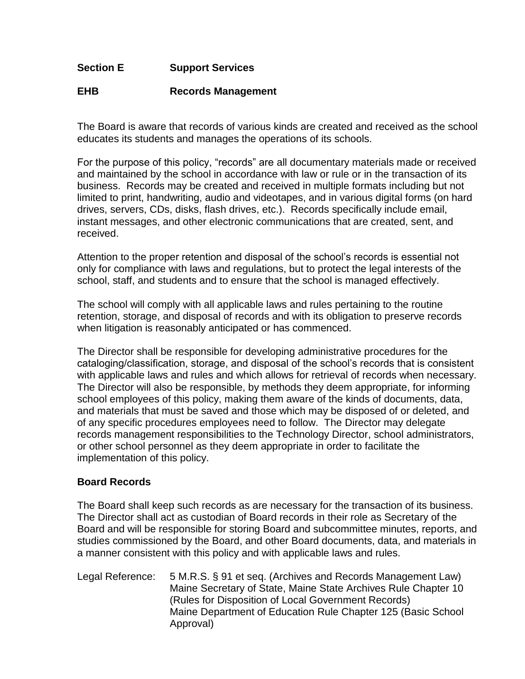## **Section E Support Services**

## **EHB Records Management**

The Board is aware that records of various kinds are created and received as the school educates its students and manages the operations of its schools.

For the purpose of this policy, "records" are all documentary materials made or received and maintained by the school in accordance with law or rule or in the transaction of its business. Records may be created and received in multiple formats including but not limited to print, handwriting, audio and videotapes, and in various digital forms (on hard drives, servers, CDs, disks, flash drives, etc.). Records specifically include email, instant messages, and other electronic communications that are created, sent, and received.

Attention to the proper retention and disposal of the school's records is essential not only for compliance with laws and regulations, but to protect the legal interests of the school, staff, and students and to ensure that the school is managed effectively.

The school will comply with all applicable laws and rules pertaining to the routine retention, storage, and disposal of records and with its obligation to preserve records when litigation is reasonably anticipated or has commenced.

The Director shall be responsible for developing administrative procedures for the cataloging/classification, storage, and disposal of the school's records that is consistent with applicable laws and rules and which allows for retrieval of records when necessary. The Director will also be responsible, by methods they deem appropriate, for informing school employees of this policy, making them aware of the kinds of documents, data, and materials that must be saved and those which may be disposed of or deleted, and of any specific procedures employees need to follow. The Director may delegate records management responsibilities to the Technology Director, school administrators, or other school personnel as they deem appropriate in order to facilitate the implementation of this policy.

## **Board Records**

The Board shall keep such records as are necessary for the transaction of its business. The Director shall act as custodian of Board records in their role as Secretary of the Board and will be responsible for storing Board and subcommittee minutes, reports, and studies commissioned by the Board, and other Board documents, data, and materials in a manner consistent with this policy and with applicable laws and rules.

Legal Reference: 5 M.R.S. § 91 et seq. (Archives and Records Management Law) Maine Secretary of State, Maine State Archives Rule Chapter 10 (Rules for Disposition of Local Government Records) Maine Department of Education Rule Chapter 125 (Basic School Approval)